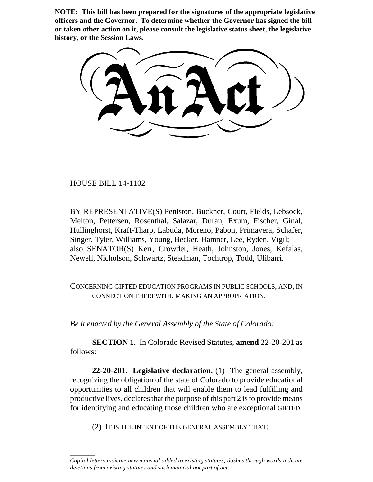**NOTE: This bill has been prepared for the signatures of the appropriate legislative officers and the Governor. To determine whether the Governor has signed the bill or taken other action on it, please consult the legislative status sheet, the legislative history, or the Session Laws.**

HOUSE BILL 14-1102

\_\_\_\_\_\_\_\_

BY REPRESENTATIVE(S) Peniston, Buckner, Court, Fields, Lebsock, Melton, Pettersen, Rosenthal, Salazar, Duran, Exum, Fischer, Ginal, Hullinghorst, Kraft-Tharp, Labuda, Moreno, Pabon, Primavera, Schafer, Singer, Tyler, Williams, Young, Becker, Hamner, Lee, Ryden, Vigil; also SENATOR(S) Kerr, Crowder, Heath, Johnston, Jones, Kefalas, Newell, Nicholson, Schwartz, Steadman, Tochtrop, Todd, Ulibarri.

CONCERNING GIFTED EDUCATION PROGRAMS IN PUBLIC SCHOOLS, AND, IN CONNECTION THEREWITH, MAKING AN APPROPRIATION.

*Be it enacted by the General Assembly of the State of Colorado:*

**SECTION 1.** In Colorado Revised Statutes, **amend** 22-20-201 as follows:

**22-20-201. Legislative declaration.** (1) The general assembly, recognizing the obligation of the state of Colorado to provide educational opportunities to all children that will enable them to lead fulfilling and productive lives, declares that the purpose of this part 2 is to provide means for identifying and educating those children who are exceptional GIFTED.

(2) IT IS THE INTENT OF THE GENERAL ASSEMBLY THAT:

*Capital letters indicate new material added to existing statutes; dashes through words indicate deletions from existing statutes and such material not part of act.*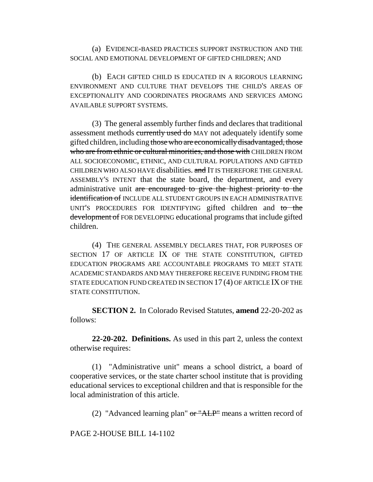(a) EVIDENCE-BASED PRACTICES SUPPORT INSTRUCTION AND THE SOCIAL AND EMOTIONAL DEVELOPMENT OF GIFTED CHILDREN; AND

(b) EACH GIFTED CHILD IS EDUCATED IN A RIGOROUS LEARNING ENVIRONMENT AND CULTURE THAT DEVELOPS THE CHILD'S AREAS OF EXCEPTIONALITY AND COORDINATES PROGRAMS AND SERVICES AMONG AVAILABLE SUPPORT SYSTEMS.

(3) The general assembly further finds and declares that traditional assessment methods currently used do MAY not adequately identify some gifted children, including those who are economically disadvantaged, those who are from ethnic or cultural minorities, and those with CHILDREN FROM ALL SOCIOECONOMIC, ETHNIC, AND CULTURAL POPULATIONS AND GIFTED CHILDREN WHO ALSO HAVE disabilities. and IT IS THEREFORE THE GENERAL ASSEMBLY'S INTENT that the state board, the department, and every administrative unit are encouraged to give the highest priority to the identification of INCLUDE ALL STUDENT GROUPS IN EACH ADMINISTRATIVE UNIT'S PROCEDURES FOR IDENTIFYING gifted children and to the development of FOR DEVELOPING educational programs that include gifted children.

(4) THE GENERAL ASSEMBLY DECLARES THAT, FOR PURPOSES OF SECTION 17 OF ARTICLE IX OF THE STATE CONSTITUTION, GIFTED EDUCATION PROGRAMS ARE ACCOUNTABLE PROGRAMS TO MEET STATE ACADEMIC STANDARDS AND MAY THEREFORE RECEIVE FUNDING FROM THE STATE EDUCATION FUND CREATED IN SECTION 17 (4) OF ARTICLE IX OF THE STATE CONSTITUTION.

**SECTION 2.** In Colorado Revised Statutes, **amend** 22-20-202 as follows:

**22-20-202. Definitions.** As used in this part 2, unless the context otherwise requires:

(1) "Administrative unit" means a school district, a board of cooperative services, or the state charter school institute that is providing educational services to exceptional children and that is responsible for the local administration of this article.

(2) "Advanced learning plan" or "ALP" means a written record of

PAGE 2-HOUSE BILL 14-1102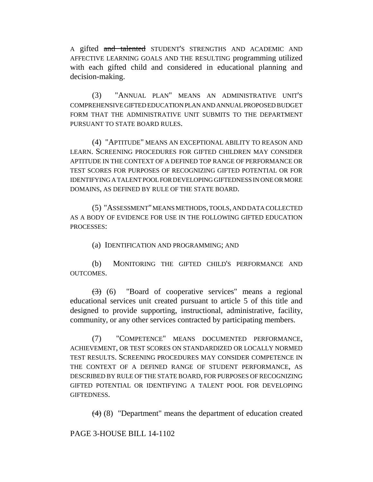A gifted and talented STUDENT'S STRENGTHS AND ACADEMIC AND AFFECTIVE LEARNING GOALS AND THE RESULTING programming utilized with each gifted child and considered in educational planning and decision-making.

(3) "ANNUAL PLAN" MEANS AN ADMINISTRATIVE UNIT'S COMPREHENSIVE GIFTED EDUCATION PLAN AND ANNUAL PROPOSED BUDGET FORM THAT THE ADMINISTRATIVE UNIT SUBMITS TO THE DEPARTMENT PURSUANT TO STATE BOARD RULES.

(4) "APTITUDE" MEANS AN EXCEPTIONAL ABILITY TO REASON AND LEARN. SCREENING PROCEDURES FOR GIFTED CHILDREN MAY CONSIDER APTITUDE IN THE CONTEXT OF A DEFINED TOP RANGE OF PERFORMANCE OR TEST SCORES FOR PURPOSES OF RECOGNIZING GIFTED POTENTIAL OR FOR IDENTIFYING A TALENT POOL FOR DEVELOPING GIFTEDNESS IN ONE OR MORE DOMAINS, AS DEFINED BY RULE OF THE STATE BOARD.

(5) "ASSESSMENT" MEANS METHODS, TOOLS, AND DATA COLLECTED AS A BODY OF EVIDENCE FOR USE IN THE FOLLOWING GIFTED EDUCATION PROCESSES:

(a) IDENTIFICATION AND PROGRAMMING; AND

(b) MONITORING THE GIFTED CHILD'S PERFORMANCE AND OUTCOMES.

 $(3)$  (6) "Board of cooperative services" means a regional educational services unit created pursuant to article 5 of this title and designed to provide supporting, instructional, administrative, facility, community, or any other services contracted by participating members.

(7) "COMPETENCE" MEANS DOCUMENTED PERFORMANCE, ACHIEVEMENT, OR TEST SCORES ON STANDARDIZED OR LOCALLY NORMED TEST RESULTS. SCREENING PROCEDURES MAY CONSIDER COMPETENCE IN THE CONTEXT OF A DEFINED RANGE OF STUDENT PERFORMANCE, AS DESCRIBED BY RULE OF THE STATE BOARD, FOR PURPOSES OF RECOGNIZING GIFTED POTENTIAL OR IDENTIFYING A TALENT POOL FOR DEVELOPING GIFTEDNESS.

(4) (8) "Department" means the department of education created

PAGE 3-HOUSE BILL 14-1102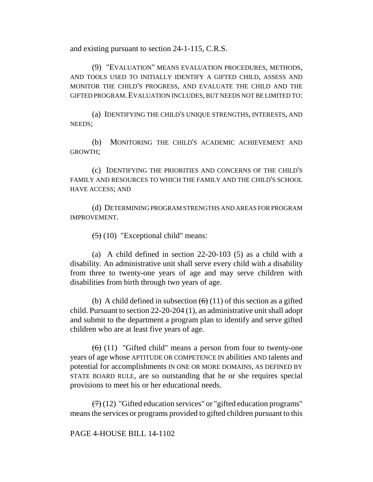and existing pursuant to section 24-1-115, C.R.S.

(9) "EVALUATION" MEANS EVALUATION PROCEDURES, METHODS, AND TOOLS USED TO INITIALLY IDENTIFY A GIFTED CHILD, ASSESS AND MONITOR THE CHILD'S PROGRESS, AND EVALUATE THE CHILD AND THE GIFTED PROGRAM.EVALUATION INCLUDES, BUT NEEDS NOT BE LIMITED TO:

(a) IDENTIFYING THE CHILD'S UNIQUE STRENGTHS, INTERESTS, AND NEEDS;

(b) MONITORING THE CHILD'S ACADEMIC ACHIEVEMENT AND GROWTH;

(c) IDENTIFYING THE PRIORITIES AND CONCERNS OF THE CHILD'S FAMILY AND RESOURCES TO WHICH THE FAMILY AND THE CHILD'S SCHOOL HAVE ACCESS; AND

(d) DETERMINING PROGRAM STRENGTHS AND AREAS FOR PROGRAM IMPROVEMENT.

 $(5)(10)$  "Exceptional child" means:

(a) A child defined in section 22-20-103 (5) as a child with a disability. An administrative unit shall serve every child with a disability from three to twenty-one years of age and may serve children with disabilities from birth through two years of age.

(b) A child defined in subsection  $(6)(11)$  of this section as a gifted child. Pursuant to section 22-20-204 (1), an administrative unit shall adopt and submit to the department a program plan to identify and serve gifted children who are at least five years of age.

 $(6)$  (11) "Gifted child" means a person from four to twenty-one years of age whose APTITUDE OR COMPETENCE IN abilities AND talents and potential for accomplishments IN ONE OR MORE DOMAINS, AS DEFINED BY STATE BOARD RULE, are so outstanding that he or she requires special provisions to meet his or her educational needs.

 $(7)(12)$  "Gifted education services" or "gifted education programs" means the services or programs provided to gifted children pursuant to this

### PAGE 4-HOUSE BILL 14-1102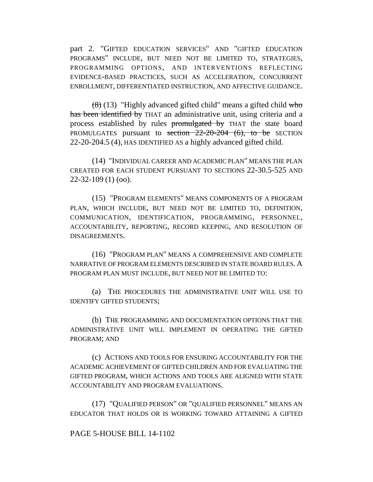part 2. "GIFTED EDUCATION SERVICES" AND "GIFTED EDUCATION PROGRAMS" INCLUDE, BUT NEED NOT BE LIMITED TO, STRATEGIES, PROGRAMMING OPTIONS, AND INTERVENTIONS REFLECTING EVIDENCE-BASED PRACTICES, SUCH AS ACCELERATION, CONCURRENT ENROLLMENT, DIFFERENTIATED INSTRUCTION, AND AFFECTIVE GUIDANCE.

 $(8)$  (13) "Highly advanced gifted child" means a gifted child who has been identified by THAT an administrative unit, using criteria and a process established by rules promulgated by THAT the state board PROMULGATES pursuant to section  $22-20-204$  (6), to be SECTION 22-20-204.5 (4), HAS IDENTIFIED AS a highly advanced gifted child.

(14) "INDIVIDUAL CAREER AND ACADEMIC PLAN" MEANS THE PLAN CREATED FOR EACH STUDENT PURSUANT TO SECTIONS 22-30.5-525 AND  $22 - 32 - 109$  (1) (oo).

(15) "PROGRAM ELEMENTS" MEANS COMPONENTS OF A PROGRAM PLAN, WHICH INCLUDE, BUT NEED NOT BE LIMITED TO, DEFINITION, COMMUNICATION, IDENTIFICATION, PROGRAMMING, PERSONNEL, ACCOUNTABILITY, REPORTING, RECORD KEEPING, AND RESOLUTION OF DISAGREEMENTS.

(16) "PROGRAM PLAN" MEANS A COMPREHENSIVE AND COMPLETE NARRATIVE OF PROGRAM ELEMENTS DESCRIBED IN STATE BOARD RULES. A PROGRAM PLAN MUST INCLUDE, BUT NEED NOT BE LIMITED TO:

(a) THE PROCEDURES THE ADMINISTRATIVE UNIT WILL USE TO IDENTIFY GIFTED STUDENTS;

(b) THE PROGRAMMING AND DOCUMENTATION OPTIONS THAT THE ADMINISTRATIVE UNIT WILL IMPLEMENT IN OPERATING THE GIFTED PROGRAM; AND

(c) ACTIONS AND TOOLS FOR ENSURING ACCOUNTABILITY FOR THE ACADEMIC ACHIEVEMENT OF GIFTED CHILDREN AND FOR EVALUATING THE GIFTED PROGRAM, WHICH ACTIONS AND TOOLS ARE ALIGNED WITH STATE ACCOUNTABILITY AND PROGRAM EVALUATIONS.

(17) "QUALIFIED PERSON" OR "QUALIFIED PERSONNEL" MEANS AN EDUCATOR THAT HOLDS OR IS WORKING TOWARD ATTAINING A GIFTED

#### PAGE 5-HOUSE BILL 14-1102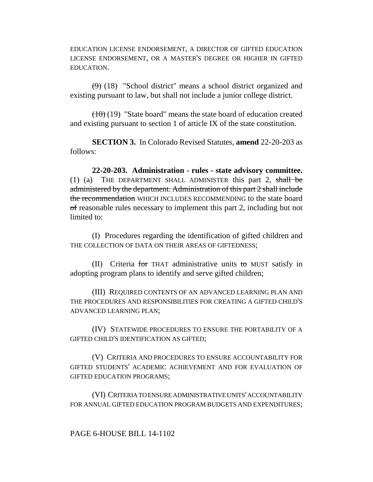EDUCATION LICENSE ENDORSEMENT, A DIRECTOR OF GIFTED EDUCATION LICENSE ENDORSEMENT, OR A MASTER'S DEGREE OR HIGHER IN GIFTED EDUCATION.

 $(9)$  (18) "School district" means a school district organized and existing pursuant to law, but shall not include a junior college district.

 $(10)(19)$  "State board" means the state board of education created and existing pursuant to section 1 of article IX of the state constitution.

**SECTION 3.** In Colorado Revised Statutes, **amend** 22-20-203 as follows:

**22-20-203. Administration - rules - state advisory committee.** (1) (a) THE DEPARTMENT SHALL ADMINISTER this part 2, shall be administered by the department. Administration of this part 2 shall include the recommendation WHICH INCLUDES RECOMMENDING to the state board of reasonable rules necessary to implement this part 2, including but not limited to:

(I) Procedures regarding the identification of gifted children and THE COLLECTION OF DATA ON THEIR AREAS OF GIFTEDNESS;

(II) Criteria for THAT administrative units to MUST satisfy in adopting program plans to identify and serve gifted children;

(III) REQUIRED CONTENTS OF AN ADVANCED LEARNING PLAN AND THE PROCEDURES AND RESPONSIBILITIES FOR CREATING A GIFTED CHILD'S ADVANCED LEARNING PLAN;

(IV) STATEWIDE PROCEDURES TO ENSURE THE PORTABILITY OF A GIFTED CHILD'S IDENTIFICATION AS GIFTED;

(V) CRITERIA AND PROCEDURES TO ENSURE ACCOUNTABILITY FOR GIFTED STUDENTS' ACADEMIC ACHIEVEMENT AND FOR EVALUATION OF GIFTED EDUCATION PROGRAMS;

(VI) CRITERIA TO ENSURE ADMINISTRATIVE UNITS' ACCOUNTABILITY FOR ANNUAL GIFTED EDUCATION PROGRAM BUDGETS AND EXPENDITURES;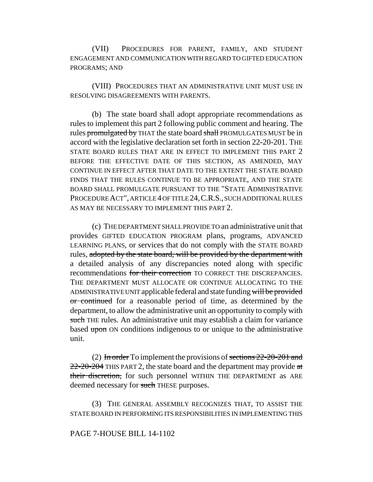(VII) PROCEDURES FOR PARENT, FAMILY, AND STUDENT ENGAGEMENT AND COMMUNICATION WITH REGARD TO GIFTED EDUCATION PROGRAMS; AND

(VIII) PROCEDURES THAT AN ADMINISTRATIVE UNIT MUST USE IN RESOLVING DISAGREEMENTS WITH PARENTS.

(b) The state board shall adopt appropriate recommendations as rules to implement this part 2 following public comment and hearing. The rules promulgated by THAT the state board shall PROMULGATES MUST be in accord with the legislative declaration set forth in section 22-20-201. THE STATE BOARD RULES THAT ARE IN EFFECT TO IMPLEMENT THIS PART 2 BEFORE THE EFFECTIVE DATE OF THIS SECTION, AS AMENDED, MAY CONTINUE IN EFFECT AFTER THAT DATE TO THE EXTENT THE STATE BOARD FINDS THAT THE RULES CONTINUE TO BE APPROPRIATE, AND THE STATE BOARD SHALL PROMULGATE PURSUANT TO THE "STATE ADMINISTRATIVE PROCEDURE ACT", ARTICLE 4 OF TITLE 24, C.R.S., SUCH ADDITIONAL RULES AS MAY BE NECESSARY TO IMPLEMENT THIS PART 2.

(c) THE DEPARTMENT SHALL PROVIDE TO an administrative unit that provides GIFTED EDUCATION PROGRAM plans, programs, ADVANCED LEARNING PLANS, or services that do not comply with the STATE BOARD rules, adopted by the state board, will be provided by the department with a detailed analysis of any discrepancies noted along with specific recommendations for their correction TO CORRECT THE DISCREPANCIES. THE DEPARTMENT MUST ALLOCATE OR CONTINUE ALLOCATING TO THE ADMINISTRATIVE UNIT applicable federal and state funding will be provided or continued for a reasonable period of time, as determined by the department, to allow the administrative unit an opportunity to comply with such THE rules. An administrative unit may establish a claim for variance based upon ON conditions indigenous to or unique to the administrative unit.

(2) In order To implement the provisions of sections  $22-20-201$  and  $22-20-204$  THIS PART 2, the state board and the department may provide at their discretion, for such personnel WITHIN THE DEPARTMENT as ARE deemed necessary for such THESE purposes.

(3) THE GENERAL ASSEMBLY RECOGNIZES THAT, TO ASSIST THE STATE BOARD IN PERFORMING ITS RESPONSIBILITIES IN IMPLEMENTING THIS

# PAGE 7-HOUSE BILL 14-1102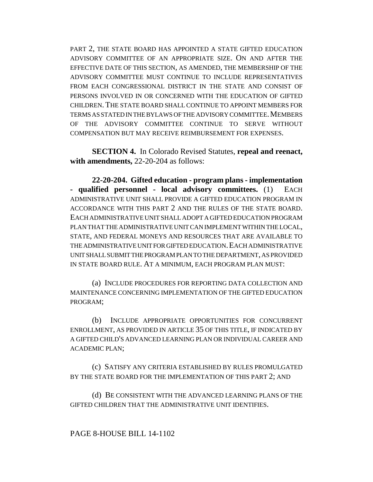PART 2, THE STATE BOARD HAS APPOINTED A STATE GIFTED EDUCATION ADVISORY COMMITTEE OF AN APPROPRIATE SIZE. ON AND AFTER THE EFFECTIVE DATE OF THIS SECTION, AS AMENDED, THE MEMBERSHIP OF THE ADVISORY COMMITTEE MUST CONTINUE TO INCLUDE REPRESENTATIVES FROM EACH CONGRESSIONAL DISTRICT IN THE STATE AND CONSIST OF PERSONS INVOLVED IN OR CONCERNED WITH THE EDUCATION OF GIFTED CHILDREN. THE STATE BOARD SHALL CONTINUE TO APPOINT MEMBERS FOR TERMS AS STATED IN THE BYLAWS OF THE ADVISORY COMMITTEE. MEMBERS OF THE ADVISORY COMMITTEE CONTINUE TO SERVE WITHOUT COMPENSATION BUT MAY RECEIVE REIMBURSEMENT FOR EXPENSES.

**SECTION 4.** In Colorado Revised Statutes, **repeal and reenact, with amendments,** 22-20-204 as follows:

**22-20-204. Gifted education - program plans - implementation - qualified personnel - local advisory committees.** (1) EACH ADMINISTRATIVE UNIT SHALL PROVIDE A GIFTED EDUCATION PROGRAM IN ACCORDANCE WITH THIS PART 2 AND THE RULES OF THE STATE BOARD. EACH ADMINISTRATIVE UNIT SHALL ADOPT A GIFTED EDUCATION PROGRAM PLAN THAT THE ADMINISTRATIVE UNIT CAN IMPLEMENT WITHIN THE LOCAL, STATE, AND FEDERAL MONEYS AND RESOURCES THAT ARE AVAILABLE TO THE ADMINISTRATIVE UNIT FOR GIFTED EDUCATION.EACH ADMINISTRATIVE UNIT SHALL SUBMIT THE PROGRAM PLAN TO THE DEPARTMENT, AS PROVIDED IN STATE BOARD RULE. AT A MINIMUM, EACH PROGRAM PLAN MUST:

(a) INCLUDE PROCEDURES FOR REPORTING DATA COLLECTION AND MAINTENANCE CONCERNING IMPLEMENTATION OF THE GIFTED EDUCATION PROGRAM;

(b) INCLUDE APPROPRIATE OPPORTUNITIES FOR CONCURRENT ENROLLMENT, AS PROVIDED IN ARTICLE 35 OF THIS TITLE, IF INDICATED BY A GIFTED CHILD'S ADVANCED LEARNING PLAN OR INDIVIDUAL CAREER AND ACADEMIC PLAN;

(c) SATISFY ANY CRITERIA ESTABLISHED BY RULES PROMULGATED BY THE STATE BOARD FOR THE IMPLEMENTATION OF THIS PART 2; AND

(d) BE CONSISTENT WITH THE ADVANCED LEARNING PLANS OF THE GIFTED CHILDREN THAT THE ADMINISTRATIVE UNIT IDENTIFIES.

### PAGE 8-HOUSE BILL 14-1102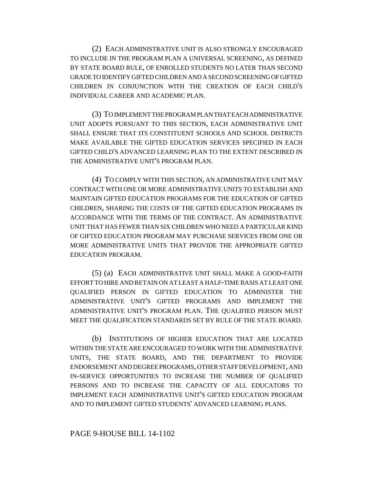(2) EACH ADMINISTRATIVE UNIT IS ALSO STRONGLY ENCOURAGED TO INCLUDE IN THE PROGRAM PLAN A UNIVERSAL SCREENING, AS DEFINED BY STATE BOARD RULE, OF ENROLLED STUDENTS NO LATER THAN SECOND GRADE TO IDENTIFY GIFTED CHILDREN AND A SECOND SCREENING OF GIFTED CHILDREN IN CONJUNCTION WITH THE CREATION OF EACH CHILD'S INDIVIDUAL CAREER AND ACADEMIC PLAN.

(3) TO IMPLEMENT THE PROGRAM PLAN THAT EACH ADMINISTRATIVE UNIT ADOPTS PURSUANT TO THIS SECTION, EACH ADMINISTRATIVE UNIT SHALL ENSURE THAT ITS CONSTITUENT SCHOOLS AND SCHOOL DISTRICTS MAKE AVAILABLE THE GIFTED EDUCATION SERVICES SPECIFIED IN EACH GIFTED CHILD'S ADVANCED LEARNING PLAN TO THE EXTENT DESCRIBED IN THE ADMINISTRATIVE UNIT'S PROGRAM PLAN.

(4) TO COMPLY WITH THIS SECTION, AN ADMINISTRATIVE UNIT MAY CONTRACT WITH ONE OR MORE ADMINISTRATIVE UNITS TO ESTABLISH AND MAINTAIN GIFTED EDUCATION PROGRAMS FOR THE EDUCATION OF GIFTED CHILDREN, SHARING THE COSTS OF THE GIFTED EDUCATION PROGRAMS IN ACCORDANCE WITH THE TERMS OF THE CONTRACT. AN ADMINISTRATIVE UNIT THAT HAS FEWER THAN SIX CHILDREN WHO NEED A PARTICULAR KIND OF GIFTED EDUCATION PROGRAM MAY PURCHASE SERVICES FROM ONE OR MORE ADMINISTRATIVE UNITS THAT PROVIDE THE APPROPRIATE GIFTED EDUCATION PROGRAM.

(5) (a) EACH ADMINISTRATIVE UNIT SHALL MAKE A GOOD-FAITH EFFORT TO HIRE AND RETAIN ON AT LEAST A HALF-TIME BASIS AT LEAST ONE QUALIFIED PERSON IN GIFTED EDUCATION TO ADMINISTER THE ADMINISTRATIVE UNIT'S GIFTED PROGRAMS AND IMPLEMENT THE ADMINISTRATIVE UNIT'S PROGRAM PLAN. THE QUALIFIED PERSON MUST MEET THE QUALIFICATION STANDARDS SET BY RULE OF THE STATE BOARD.

(b) INSTITUTIONS OF HIGHER EDUCATION THAT ARE LOCATED WITHIN THE STATE ARE ENCOURAGED TO WORK WITH THE ADMINISTRATIVE UNITS, THE STATE BOARD, AND THE DEPARTMENT TO PROVIDE ENDORSEMENT AND DEGREE PROGRAMS, OTHER STAFF DEVELOPMENT, AND IN-SERVICE OPPORTUNITIES TO INCREASE THE NUMBER OF QUALIFIED PERSONS AND TO INCREASE THE CAPACITY OF ALL EDUCATORS TO IMPLEMENT EACH ADMINISTRATIVE UNIT'S GIFTED EDUCATION PROGRAM AND TO IMPLEMENT GIFTED STUDENTS' ADVANCED LEARNING PLANS.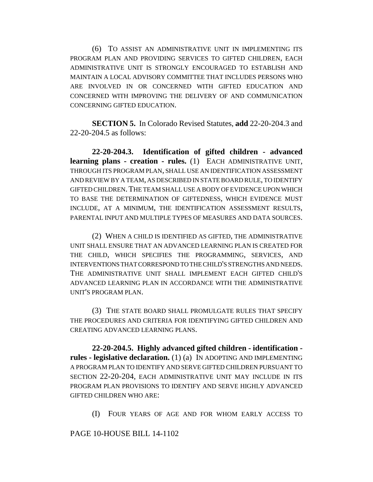(6) TO ASSIST AN ADMINISTRATIVE UNIT IN IMPLEMENTING ITS PROGRAM PLAN AND PROVIDING SERVICES TO GIFTED CHILDREN, EACH ADMINISTRATIVE UNIT IS STRONGLY ENCOURAGED TO ESTABLISH AND MAINTAIN A LOCAL ADVISORY COMMITTEE THAT INCLUDES PERSONS WHO ARE INVOLVED IN OR CONCERNED WITH GIFTED EDUCATION AND CONCERNED WITH IMPROVING THE DELIVERY OF AND COMMUNICATION CONCERNING GIFTED EDUCATION.

**SECTION 5.** In Colorado Revised Statutes, **add** 22-20-204.3 and 22-20-204.5 as follows:

**22-20-204.3. Identification of gifted children - advanced learning plans - creation - rules.** (1) EACH ADMINISTRATIVE UNIT, THROUGH ITS PROGRAM PLAN, SHALL USE AN IDENTIFICATION ASSESSMENT AND REVIEW BY A TEAM, AS DESCRIBED IN STATE BOARD RULE, TO IDENTIFY GIFTED CHILDREN. THE TEAM SHALL USE A BODY OF EVIDENCE UPON WHICH TO BASE THE DETERMINATION OF GIFTEDNESS, WHICH EVIDENCE MUST INCLUDE, AT A MINIMUM, THE IDENTIFICATION ASSESSMENT RESULTS, PARENTAL INPUT AND MULTIPLE TYPES OF MEASURES AND DATA SOURCES.

(2) WHEN A CHILD IS IDENTIFIED AS GIFTED, THE ADMINISTRATIVE UNIT SHALL ENSURE THAT AN ADVANCED LEARNING PLAN IS CREATED FOR THE CHILD, WHICH SPECIFIES THE PROGRAMMING, SERVICES, AND INTERVENTIONS THAT CORRESPOND TO THE CHILD'S STRENGTHS AND NEEDS. THE ADMINISTRATIVE UNIT SHALL IMPLEMENT EACH GIFTED CHILD'S ADVANCED LEARNING PLAN IN ACCORDANCE WITH THE ADMINISTRATIVE UNIT'S PROGRAM PLAN.

(3) THE STATE BOARD SHALL PROMULGATE RULES THAT SPECIFY THE PROCEDURES AND CRITERIA FOR IDENTIFYING GIFTED CHILDREN AND CREATING ADVANCED LEARNING PLANS.

**22-20-204.5. Highly advanced gifted children - identification rules - legislative declaration.** (1) (a) IN ADOPTING AND IMPLEMENTING A PROGRAM PLAN TO IDENTIFY AND SERVE GIFTED CHILDREN PURSUANT TO SECTION 22-20-204, EACH ADMINISTRATIVE UNIT MAY INCLUDE IN ITS PROGRAM PLAN PROVISIONS TO IDENTIFY AND SERVE HIGHLY ADVANCED GIFTED CHILDREN WHO ARE:

(I) FOUR YEARS OF AGE AND FOR WHOM EARLY ACCESS TO

# PAGE 10-HOUSE BILL 14-1102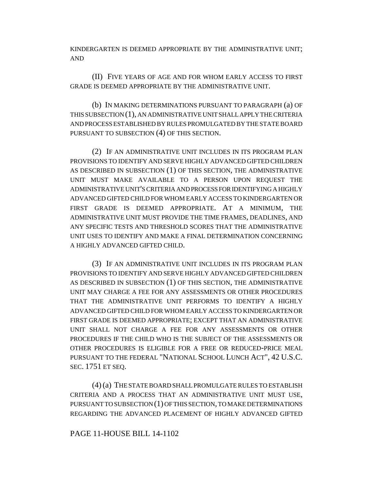KINDERGARTEN IS DEEMED APPROPRIATE BY THE ADMINISTRATIVE UNIT; AND

(II) FIVE YEARS OF AGE AND FOR WHOM EARLY ACCESS TO FIRST GRADE IS DEEMED APPROPRIATE BY THE ADMINISTRATIVE UNIT.

(b) IN MAKING DETERMINATIONS PURSUANT TO PARAGRAPH (a) OF THIS SUBSECTION (1), AN ADMINISTRATIVE UNIT SHALL APPLY THE CRITERIA AND PROCESS ESTABLISHED BY RULES PROMULGATED BY THE STATE BOARD PURSUANT TO SUBSECTION (4) OF THIS SECTION.

(2) IF AN ADMINISTRATIVE UNIT INCLUDES IN ITS PROGRAM PLAN PROVISIONS TO IDENTIFY AND SERVE HIGHLY ADVANCED GIFTED CHILDREN AS DESCRIBED IN SUBSECTION (1) OF THIS SECTION, THE ADMINISTRATIVE UNIT MUST MAKE AVAILABLE TO A PERSON UPON REQUEST THE ADMINISTRATIVE UNIT'S CRITERIA AND PROCESS FOR IDENTIFYING A HIGHLY ADVANCED GIFTED CHILD FOR WHOM EARLY ACCESS TO KINDERGARTEN OR FIRST GRADE IS DEEMED APPROPRIATE. AT A MINIMUM, THE ADMINISTRATIVE UNIT MUST PROVIDE THE TIME FRAMES, DEADLINES, AND ANY SPECIFIC TESTS AND THRESHOLD SCORES THAT THE ADMINISTRATIVE UNIT USES TO IDENTIFY AND MAKE A FINAL DETERMINATION CONCERNING A HIGHLY ADVANCED GIFTED CHILD.

(3) IF AN ADMINISTRATIVE UNIT INCLUDES IN ITS PROGRAM PLAN PROVISIONS TO IDENTIFY AND SERVE HIGHLY ADVANCED GIFTED CHILDREN AS DESCRIBED IN SUBSECTION (1) OF THIS SECTION, THE ADMINISTRATIVE UNIT MAY CHARGE A FEE FOR ANY ASSESSMENTS OR OTHER PROCEDURES THAT THE ADMINISTRATIVE UNIT PERFORMS TO IDENTIFY A HIGHLY ADVANCED GIFTED CHILD FOR WHOM EARLY ACCESS TO KINDERGARTEN OR FIRST GRADE IS DEEMED APPROPRIATE; EXCEPT THAT AN ADMINISTRATIVE UNIT SHALL NOT CHARGE A FEE FOR ANY ASSESSMENTS OR OTHER PROCEDURES IF THE CHILD WHO IS THE SUBJECT OF THE ASSESSMENTS OR OTHER PROCEDURES IS ELIGIBLE FOR A FREE OR REDUCED-PRICE MEAL PURSUANT TO THE FEDERAL "NATIONAL SCHOOL LUNCH ACT", 42 U.S.C. SEC. 1751 ET SEQ.

(4) (a) THE STATE BOARD SHALL PROMULGATE RULES TO ESTABLISH CRITERIA AND A PROCESS THAT AN ADMINISTRATIVE UNIT MUST USE, PURSUANT TO SUBSECTION (1) OF THIS SECTION, TO MAKE DETERMINATIONS REGARDING THE ADVANCED PLACEMENT OF HIGHLY ADVANCED GIFTED

### PAGE 11-HOUSE BILL 14-1102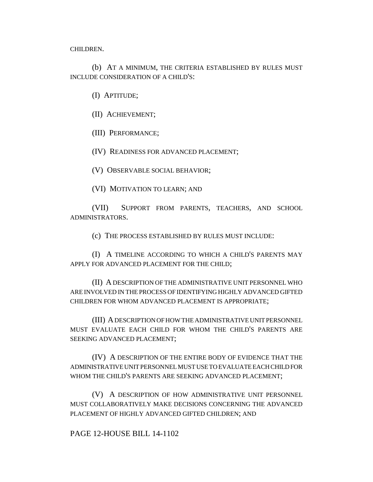CHILDREN.

(b) AT A MINIMUM, THE CRITERIA ESTABLISHED BY RULES MUST INCLUDE CONSIDERATION OF A CHILD'S:

(I) APTITUDE;

(II) ACHIEVEMENT;

(III) PERFORMANCE;

(IV) READINESS FOR ADVANCED PLACEMENT;

(V) OBSERVABLE SOCIAL BEHAVIOR;

(VI) MOTIVATION TO LEARN; AND

(VII) SUPPORT FROM PARENTS, TEACHERS, AND SCHOOL ADMINISTRATORS.

(c) THE PROCESS ESTABLISHED BY RULES MUST INCLUDE:

(I) A TIMELINE ACCORDING TO WHICH A CHILD'S PARENTS MAY APPLY FOR ADVANCED PLACEMENT FOR THE CHILD;

(II) A DESCRIPTION OF THE ADMINISTRATIVE UNIT PERSONNEL WHO ARE INVOLVED IN THE PROCESS OF IDENTIFYING HIGHLY ADVANCED GIFTED CHILDREN FOR WHOM ADVANCED PLACEMENT IS APPROPRIATE;

(III) A DESCRIPTION OF HOW THE ADMINISTRATIVE UNIT PERSONNEL MUST EVALUATE EACH CHILD FOR WHOM THE CHILD'S PARENTS ARE SEEKING ADVANCED PLACEMENT;

(IV) A DESCRIPTION OF THE ENTIRE BODY OF EVIDENCE THAT THE ADMINISTRATIVE UNIT PERSONNEL MUST USE TO EVALUATE EACH CHILD FOR WHOM THE CHILD'S PARENTS ARE SEEKING ADVANCED PLACEMENT;

(V) A DESCRIPTION OF HOW ADMINISTRATIVE UNIT PERSONNEL MUST COLLABORATIVELY MAKE DECISIONS CONCERNING THE ADVANCED PLACEMENT OF HIGHLY ADVANCED GIFTED CHILDREN; AND

PAGE 12-HOUSE BILL 14-1102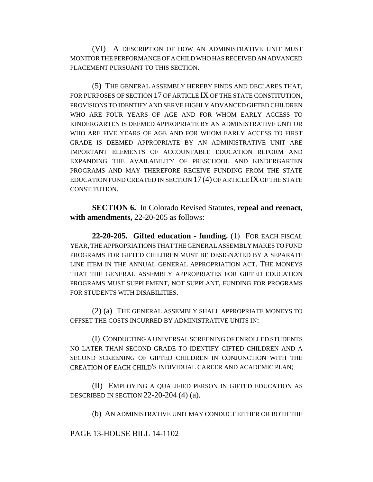(VI) A DESCRIPTION OF HOW AN ADMINISTRATIVE UNIT MUST MONITOR THE PERFORMANCE OF A CHILD WHO HAS RECEIVED AN ADVANCED PLACEMENT PURSUANT TO THIS SECTION.

(5) THE GENERAL ASSEMBLY HEREBY FINDS AND DECLARES THAT, FOR PURPOSES OF SECTION 17 OF ARTICLE IX OF THE STATE CONSTITUTION, PROVISIONS TO IDENTIFY AND SERVE HIGHLY ADVANCED GIFTED CHILDREN WHO ARE FOUR YEARS OF AGE AND FOR WHOM EARLY ACCESS TO KINDERGARTEN IS DEEMED APPROPRIATE BY AN ADMINISTRATIVE UNIT OR WHO ARE FIVE YEARS OF AGE AND FOR WHOM EARLY ACCESS TO FIRST GRADE IS DEEMED APPROPRIATE BY AN ADMINISTRATIVE UNIT ARE IMPORTANT ELEMENTS OF ACCOUNTABLE EDUCATION REFORM AND EXPANDING THE AVAILABILITY OF PRESCHOOL AND KINDERGARTEN PROGRAMS AND MAY THEREFORE RECEIVE FUNDING FROM THE STATE EDUCATION FUND CREATED IN SECTION 17 (4) OF ARTICLE IX OF THE STATE CONSTITUTION.

**SECTION 6.** In Colorado Revised Statutes, **repeal and reenact, with amendments,** 22-20-205 as follows:

**22-20-205. Gifted education - funding.** (1) FOR EACH FISCAL YEAR, THE APPROPRIATIONS THAT THE GENERAL ASSEMBLY MAKES TO FUND PROGRAMS FOR GIFTED CHILDREN MUST BE DESIGNATED BY A SEPARATE LINE ITEM IN THE ANNUAL GENERAL APPROPRIATION ACT. THE MONEYS THAT THE GENERAL ASSEMBLY APPROPRIATES FOR GIFTED EDUCATION PROGRAMS MUST SUPPLEMENT, NOT SUPPLANT, FUNDING FOR PROGRAMS FOR STUDENTS WITH DISABILITIES.

(2) (a) THE GENERAL ASSEMBLY SHALL APPROPRIATE MONEYS TO OFFSET THE COSTS INCURRED BY ADMINISTRATIVE UNITS IN:

(I) CONDUCTING A UNIVERSAL SCREENING OF ENROLLED STUDENTS NO LATER THAN SECOND GRADE TO IDENTIFY GIFTED CHILDREN AND A SECOND SCREENING OF GIFTED CHILDREN IN CONJUNCTION WITH THE CREATION OF EACH CHILD'S INDIVIDUAL CAREER AND ACADEMIC PLAN;

(II) EMPLOYING A QUALIFIED PERSON IN GIFTED EDUCATION AS DESCRIBED IN SECTION 22-20-204 (4) (a).

(b) AN ADMINISTRATIVE UNIT MAY CONDUCT EITHER OR BOTH THE

PAGE 13-HOUSE BILL 14-1102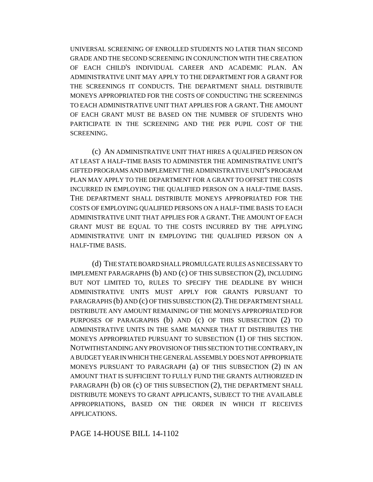UNIVERSAL SCREENING OF ENROLLED STUDENTS NO LATER THAN SECOND GRADE AND THE SECOND SCREENING IN CONJUNCTION WITH THE CREATION OF EACH CHILD'S INDIVIDUAL CAREER AND ACADEMIC PLAN. AN ADMINISTRATIVE UNIT MAY APPLY TO THE DEPARTMENT FOR A GRANT FOR THE SCREENINGS IT CONDUCTS. THE DEPARTMENT SHALL DISTRIBUTE MONEYS APPROPRIATED FOR THE COSTS OF CONDUCTING THE SCREENINGS TO EACH ADMINISTRATIVE UNIT THAT APPLIES FOR A GRANT. THE AMOUNT OF EACH GRANT MUST BE BASED ON THE NUMBER OF STUDENTS WHO PARTICIPATE IN THE SCREENING AND THE PER PUPIL COST OF THE SCREENING.

(c) AN ADMINISTRATIVE UNIT THAT HIRES A QUALIFIED PERSON ON AT LEAST A HALF-TIME BASIS TO ADMINISTER THE ADMINISTRATIVE UNIT'S GIFTED PROGRAMS AND IMPLEMENT THE ADMINISTRATIVE UNIT'S PROGRAM PLAN MAY APPLY TO THE DEPARTMENT FOR A GRANT TO OFFSET THE COSTS INCURRED IN EMPLOYING THE QUALIFIED PERSON ON A HALF-TIME BASIS. THE DEPARTMENT SHALL DISTRIBUTE MONEYS APPROPRIATED FOR THE COSTS OF EMPLOYING QUALIFIED PERSONS ON A HALF-TIME BASIS TO EACH ADMINISTRATIVE UNIT THAT APPLIES FOR A GRANT. THE AMOUNT OF EACH GRANT MUST BE EQUAL TO THE COSTS INCURRED BY THE APPLYING ADMINISTRATIVE UNIT IN EMPLOYING THE QUALIFIED PERSON ON A HALF-TIME BASIS.

(d) THE STATE BOARD SHALL PROMULGATE RULES AS NECESSARY TO IMPLEMENT PARAGRAPHS (b) AND (c) OF THIS SUBSECTION (2), INCLUDING BUT NOT LIMITED TO, RULES TO SPECIFY THE DEADLINE BY WHICH ADMINISTRATIVE UNITS MUST APPLY FOR GRANTS PURSUANT TO PARAGRAPHS (b) AND (c) OF THIS SUBSECTION (2).THE DEPARTMENT SHALL DISTRIBUTE ANY AMOUNT REMAINING OF THE MONEYS APPROPRIATED FOR PURPOSES OF PARAGRAPHS (b) AND (c) OF THIS SUBSECTION (2) TO ADMINISTRATIVE UNITS IN THE SAME MANNER THAT IT DISTRIBUTES THE MONEYS APPROPRIATED PURSUANT TO SUBSECTION (1) OF THIS SECTION. NOTWITHSTANDING ANY PROVISION OF THIS SECTION TO THE CONTRARY, IN A BUDGET YEAR IN WHICH THE GENERAL ASSEMBLY DOES NOT APPROPRIATE MONEYS PURSUANT TO PARAGRAPH (a) OF THIS SUBSECTION (2) IN AN AMOUNT THAT IS SUFFICIENT TO FULLY FUND THE GRANTS AUTHORIZED IN PARAGRAPH (b) OR (c) OF THIS SUBSECTION (2), THE DEPARTMENT SHALL DISTRIBUTE MONEYS TO GRANT APPLICANTS, SUBJECT TO THE AVAILABLE APPROPRIATIONS, BASED ON THE ORDER IN WHICH IT RECEIVES APPLICATIONS.

PAGE 14-HOUSE BILL 14-1102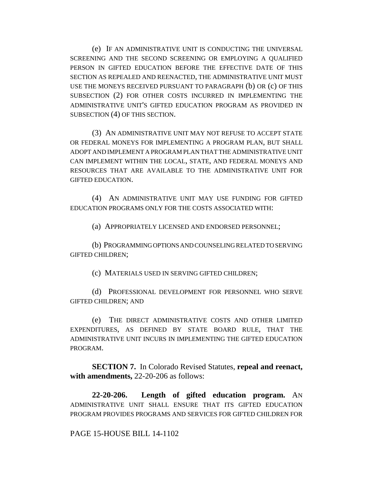(e) IF AN ADMINISTRATIVE UNIT IS CONDUCTING THE UNIVERSAL SCREENING AND THE SECOND SCREENING OR EMPLOYING A QUALIFIED PERSON IN GIFTED EDUCATION BEFORE THE EFFECTIVE DATE OF THIS SECTION AS REPEALED AND REENACTED, THE ADMINISTRATIVE UNIT MUST USE THE MONEYS RECEIVED PURSUANT TO PARAGRAPH (b) OR (c) OF THIS SUBSECTION (2) FOR OTHER COSTS INCURRED IN IMPLEMENTING THE ADMINISTRATIVE UNIT'S GIFTED EDUCATION PROGRAM AS PROVIDED IN SUBSECTION (4) OF THIS SECTION.

(3) AN ADMINISTRATIVE UNIT MAY NOT REFUSE TO ACCEPT STATE OR FEDERAL MONEYS FOR IMPLEMENTING A PROGRAM PLAN, BUT SHALL ADOPT AND IMPLEMENT A PROGRAM PLAN THAT THE ADMINISTRATIVE UNIT CAN IMPLEMENT WITHIN THE LOCAL, STATE, AND FEDERAL MONEYS AND RESOURCES THAT ARE AVAILABLE TO THE ADMINISTRATIVE UNIT FOR GIFTED EDUCATION.

(4) AN ADMINISTRATIVE UNIT MAY USE FUNDING FOR GIFTED EDUCATION PROGRAMS ONLY FOR THE COSTS ASSOCIATED WITH:

(a) APPROPRIATELY LICENSED AND ENDORSED PERSONNEL;

(b) PROGRAMMING OPTIONS AND COUNSELING RELATED TO SERVING GIFTED CHILDREN;

(c) MATERIALS USED IN SERVING GIFTED CHILDREN;

(d) PROFESSIONAL DEVELOPMENT FOR PERSONNEL WHO SERVE GIFTED CHILDREN; AND

(e) THE DIRECT ADMINISTRATIVE COSTS AND OTHER LIMITED EXPENDITURES, AS DEFINED BY STATE BOARD RULE, THAT THE ADMINISTRATIVE UNIT INCURS IN IMPLEMENTING THE GIFTED EDUCATION PROGRAM.

**SECTION 7.** In Colorado Revised Statutes, **repeal and reenact, with amendments,** 22-20-206 as follows:

**22-20-206. Length of gifted education program.** AN ADMINISTRATIVE UNIT SHALL ENSURE THAT ITS GIFTED EDUCATION PROGRAM PROVIDES PROGRAMS AND SERVICES FOR GIFTED CHILDREN FOR

PAGE 15-HOUSE BILL 14-1102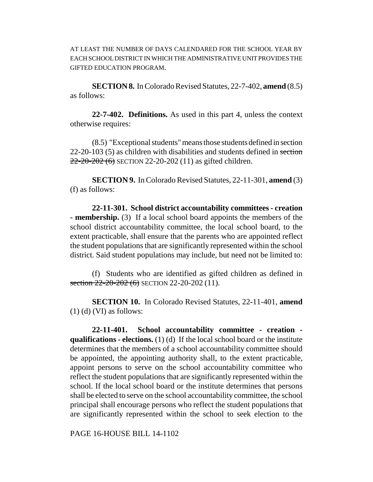AT LEAST THE NUMBER OF DAYS CALENDARED FOR THE SCHOOL YEAR BY EACH SCHOOL DISTRICT IN WHICH THE ADMINISTRATIVE UNIT PROVIDES THE GIFTED EDUCATION PROGRAM.

**SECTION 8.** In Colorado Revised Statutes, 22-7-402, **amend** (8.5) as follows:

**22-7-402. Definitions.** As used in this part 4, unless the context otherwise requires:

(8.5) "Exceptional students" means those students defined in section 22-20-103 (5) as children with disabilities and students defined in section  $22-20-202$  (6) SECTION 22-20-202 (11) as gifted children.

**SECTION 9.** In Colorado Revised Statutes, 22-11-301, **amend** (3) (f) as follows:

**22-11-301. School district accountability committees - creation - membership.** (3) If a local school board appoints the members of the school district accountability committee, the local school board, to the extent practicable, shall ensure that the parents who are appointed reflect the student populations that are significantly represented within the school district. Said student populations may include, but need not be limited to:

(f) Students who are identified as gifted children as defined in section  $22-20-202$  (6) SECTION 22-20-202 (11).

**SECTION 10.** In Colorado Revised Statutes, 22-11-401, **amend**  $(1)$  (d) (VI) as follows:

**22-11-401. School accountability committee - creation qualifications - elections.** (1) (d) If the local school board or the institute determines that the members of a school accountability committee should be appointed, the appointing authority shall, to the extent practicable, appoint persons to serve on the school accountability committee who reflect the student populations that are significantly represented within the school. If the local school board or the institute determines that persons shall be elected to serve on the school accountability committee, the school principal shall encourage persons who reflect the student populations that are significantly represented within the school to seek election to the

PAGE 16-HOUSE BILL 14-1102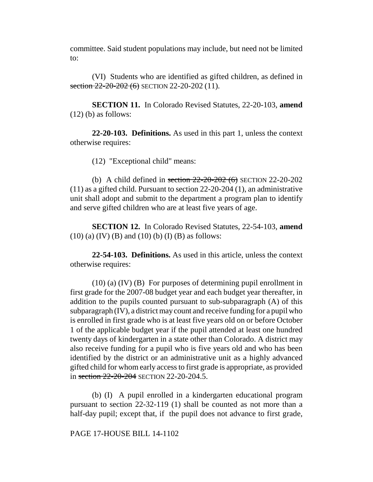committee. Said student populations may include, but need not be limited to:

(VI) Students who are identified as gifted children, as defined in section 22-20-202 (6) SECTION 22-20-202 (11).

**SECTION 11.** In Colorado Revised Statutes, 22-20-103, **amend** (12) (b) as follows:

**22-20-103. Definitions.** As used in this part 1, unless the context otherwise requires:

(12) "Exceptional child" means:

(b) A child defined in section  $22-20-202$  (6) SECTION 22-20-202 (11) as a gifted child. Pursuant to section 22-20-204 (1), an administrative unit shall adopt and submit to the department a program plan to identify and serve gifted children who are at least five years of age.

**SECTION 12.** In Colorado Revised Statutes, 22-54-103, **amend**  $(10)$  (a) (IV) (B) and (10) (b) (I) (B) as follows:

**22-54-103. Definitions.** As used in this article, unless the context otherwise requires:

(10) (a) (IV) (B) For purposes of determining pupil enrollment in first grade for the 2007-08 budget year and each budget year thereafter, in addition to the pupils counted pursuant to sub-subparagraph (A) of this subparagraph (IV), a district may count and receive funding for a pupil who is enrolled in first grade who is at least five years old on or before October 1 of the applicable budget year if the pupil attended at least one hundred twenty days of kindergarten in a state other than Colorado. A district may also receive funding for a pupil who is five years old and who has been identified by the district or an administrative unit as a highly advanced gifted child for whom early access to first grade is appropriate, as provided in section 22-20-204 SECTION 22-20-204.5.

(b) (I) A pupil enrolled in a kindergarten educational program pursuant to section 22-32-119 (1) shall be counted as not more than a half-day pupil; except that, if the pupil does not advance to first grade,

PAGE 17-HOUSE BILL 14-1102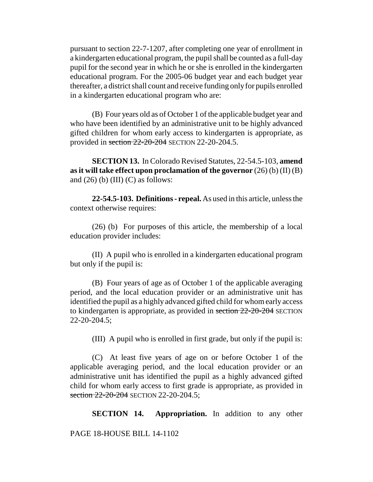pursuant to section 22-7-1207, after completing one year of enrollment in a kindergarten educational program, the pupil shall be counted as a full-day pupil for the second year in which he or she is enrolled in the kindergarten educational program. For the 2005-06 budget year and each budget year thereafter, a district shall count and receive funding only for pupils enrolled in a kindergarten educational program who are:

(B) Four years old as of October 1 of the applicable budget year and who have been identified by an administrative unit to be highly advanced gifted children for whom early access to kindergarten is appropriate, as provided in section 22-20-204 SECTION 22-20-204.5.

**SECTION 13.** In Colorado Revised Statutes, 22-54.5-103, **amend as it will take effect upon proclamation of the governor** (26) (b) (II) (B) and  $(26)$  (b)  $(III)$  (C) as follows:

**22-54.5-103. Definitions - repeal.** As used in this article, unless the context otherwise requires:

(26) (b) For purposes of this article, the membership of a local education provider includes:

(II) A pupil who is enrolled in a kindergarten educational program but only if the pupil is:

(B) Four years of age as of October 1 of the applicable averaging period, and the local education provider or an administrative unit has identified the pupil as a highly advanced gifted child for whom early access to kindergarten is appropriate, as provided in section 22-20-204 SECTION 22-20-204.5;

(III) A pupil who is enrolled in first grade, but only if the pupil is:

(C) At least five years of age on or before October 1 of the applicable averaging period, and the local education provider or an administrative unit has identified the pupil as a highly advanced gifted child for whom early access to first grade is appropriate, as provided in section 22-20-204 SECTION 22-20-204.5;

**SECTION 14. Appropriation.** In addition to any other

PAGE 18-HOUSE BILL 14-1102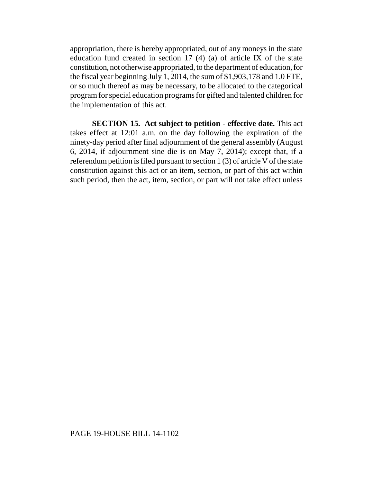appropriation, there is hereby appropriated, out of any moneys in the state education fund created in section 17 (4) (a) of article IX of the state constitution, not otherwise appropriated, to the department of education, for the fiscal year beginning July 1, 2014, the sum of \$1,903,178 and 1.0 FTE, or so much thereof as may be necessary, to be allocated to the categorical program for special education programs for gifted and talented children for the implementation of this act.

**SECTION 15. Act subject to petition - effective date.** This act takes effect at 12:01 a.m. on the day following the expiration of the ninety-day period after final adjournment of the general assembly (August 6, 2014, if adjournment sine die is on May 7, 2014); except that, if a referendum petition is filed pursuant to section 1 (3) of article V of the state constitution against this act or an item, section, or part of this act within such period, then the act, item, section, or part will not take effect unless